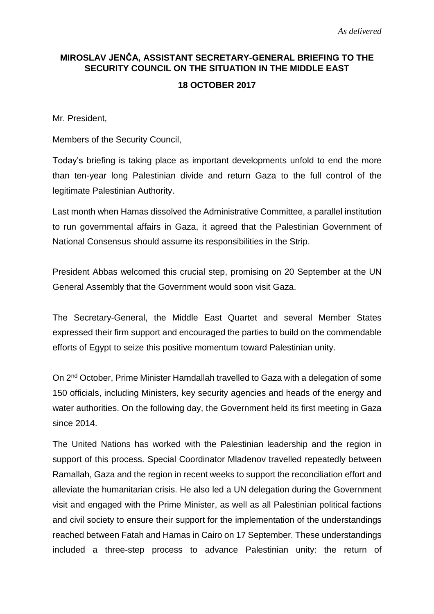## **MIROSLAV JENČA, ASSISTANT SECRETARY-GENERAL BRIEFING TO THE SECURITY COUNCIL ON THE SITUATION IN THE MIDDLE EAST 18 OCTOBER 2017**

Mr. President,

Members of the Security Council,

Today's briefing is taking place as important developments unfold to end the more than ten-year long Palestinian divide and return Gaza to the full control of the legitimate Palestinian Authority.

Last month when Hamas dissolved the Administrative Committee, a parallel institution to run governmental affairs in Gaza, it agreed that the Palestinian Government of National Consensus should assume its responsibilities in the Strip.

President Abbas welcomed this crucial step, promising on 20 September at the UN General Assembly that the Government would soon visit Gaza.

The Secretary-General, the Middle East Quartet and several Member States expressed their firm support and encouraged the parties to build on the commendable efforts of Egypt to seize this positive momentum toward Palestinian unity.

On 2<sup>nd</sup> October, Prime Minister Hamdallah travelled to Gaza with a delegation of some 150 officials, including Ministers, key security agencies and heads of the energy and water authorities. On the following day, the Government held its first meeting in Gaza since 2014.

The United Nations has worked with the Palestinian leadership and the region in support of this process. Special Coordinator Mladenov travelled repeatedly between Ramallah, Gaza and the region in recent weeks to support the reconciliation effort and alleviate the humanitarian crisis. He also led a UN delegation during the Government visit and engaged with the Prime Minister, as well as all Palestinian political factions and civil society to ensure their support for the implementation of the understandings reached between Fatah and Hamas in Cairo on 17 September. These understandings included a three-step process to advance Palestinian unity: the return of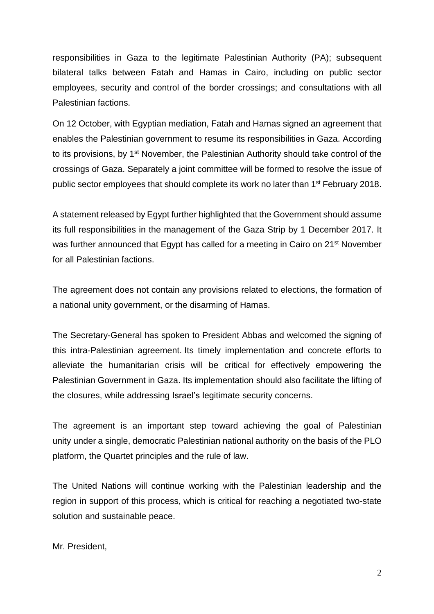responsibilities in Gaza to the legitimate Palestinian Authority (PA); subsequent bilateral talks between Fatah and Hamas in Cairo, including on public sector employees, security and control of the border crossings; and consultations with all Palestinian factions.

On 12 October, with Egyptian mediation, Fatah and Hamas signed an agreement that enables the Palestinian government to resume its responsibilities in Gaza. According to its provisions, by 1<sup>st</sup> November, the Palestinian Authority should take control of the crossings of Gaza. Separately a joint committee will be formed to resolve the issue of public sector employees that should complete its work no later than 1<sup>st</sup> February 2018.

A statement released by Egypt further highlighted that the Government should assume its full responsibilities in the management of the Gaza Strip by 1 December 2017. It was further announced that Egypt has called for a meeting in Cairo on 21<sup>st</sup> November for all Palestinian factions.

The agreement does not contain any provisions related to elections, the formation of a national unity government, or the disarming of Hamas.

The Secretary-General has spoken to President Abbas and welcomed the signing of this intra-Palestinian agreement. Its timely implementation and concrete efforts to alleviate the humanitarian crisis will be critical for effectively empowering the Palestinian Government in Gaza. Its implementation should also facilitate the lifting of the closures, while addressing Israel's legitimate security concerns.

The agreement is an important step toward achieving the goal of Palestinian unity under a single, democratic Palestinian national authority on the basis of the PLO platform, the Quartet principles and the rule of law.

The United Nations will continue working with the Palestinian leadership and the region in support of this process, which is critical for reaching a negotiated two-state solution and sustainable peace.

Mr. President,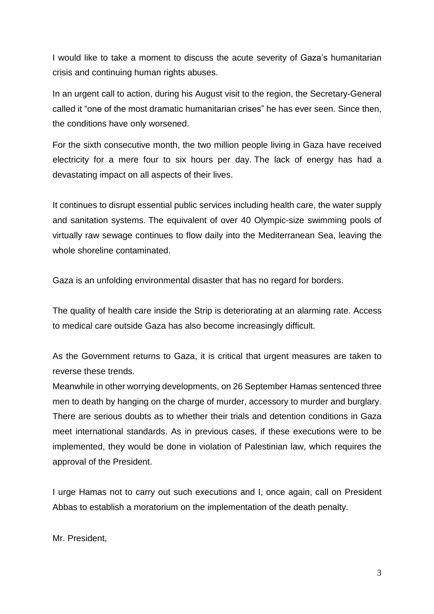I would like to take a moment to discuss the acute severity of Gaza's humanitarian crisis and continuing human rights abuses.

In an urgent call to action, during his August visit to the region, the Secretary-General called it "one of the most dramatic humanitarian crises" he has ever seen. Since then, the conditions have only worsened.

For the sixth consecutive month, the two million people living in Gaza have received electricity for a mere four to six hours per day. The lack of energy has had a devastating impact on all aspects of their lives.

It continues to disrupt essential public services including health care, the water supply and sanitation systems. The equivalent of over 40 Olympic-size swimming pools of virtually raw sewage continues to flow daily into the Mediterranean Sea, leaving the whole shoreline contaminated.

Gaza is an unfolding environmental disaster that has no regard for borders.

The quality of health care inside the Strip is deteriorating at an alarming rate. Access to medical care outside Gaza has also become increasingly difficult.

As the Government returns to Gaza, it is critical that urgent measures are taken to reverse these trends.

Meanwhile in other worrying developments, on 26 September Hamas sentenced three men to death by hanging on the charge of murder, accessory to murder and burglary. There are serious doubts as to whether their trials and detention conditions in Gaza meet international standards. As in previous cases, if these executions were to be implemented, they would be done in violation of Palestinian law, which requires the approval of the President.

I urge Hamas not to carry out such executions and I, once again, call on President Abbas to establish a moratorium on the implementation of the death penalty.

Mr. President,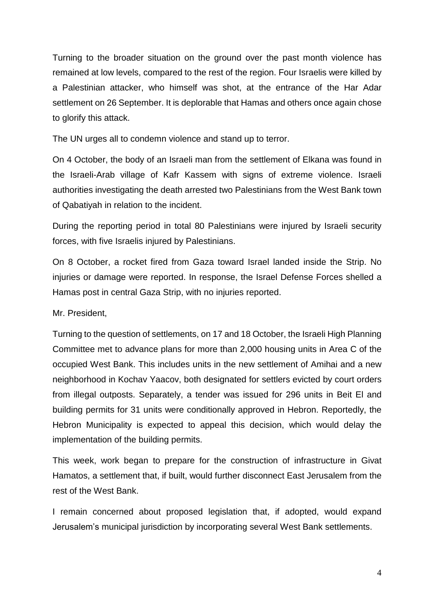Turning to the broader situation on the ground over the past month violence has remained at low levels, compared to the rest of the region. Four Israelis were killed by a Palestinian attacker, who himself was shot, at the entrance of the Har Adar settlement on 26 September. It is deplorable that Hamas and others once again chose to glorify this attack.

The UN urges all to condemn violence and stand up to terror.

On 4 October, the body of an Israeli man from the settlement of Elkana was found in the Israeli-Arab village of Kafr Kassem with signs of extreme violence. Israeli authorities investigating the death arrested two Palestinians from the West Bank town of Qabatiyah in relation to the incident.

During the reporting period in total 80 Palestinians were injured by Israeli security forces, with five Israelis injured by Palestinians.

On 8 October, a rocket fired from Gaza toward Israel landed inside the Strip. No injuries or damage were reported. In response, the Israel Defense Forces shelled a Hamas post in central Gaza Strip, with no injuries reported.

Mr. President,

Turning to the question of settlements, on 17 and 18 October, the Israeli High Planning Committee met to advance plans for more than 2,000 housing units in Area C of the occupied West Bank. This includes units in the new settlement of Amihai and a new neighborhood in Kochav Yaacov, both designated for settlers evicted by court orders from illegal outposts. Separately, a tender was issued for 296 units in Beit El and building permits for 31 units were conditionally approved in Hebron. Reportedly, the Hebron Municipality is expected to appeal this decision, which would delay the implementation of the building permits.

This week, work began to prepare for the construction of infrastructure in Givat Hamatos, a settlement that, if built, would further disconnect East Jerusalem from the rest of the West Bank.

I remain concerned about proposed legislation that, if adopted, would expand Jerusalem's municipal jurisdiction by incorporating several West Bank settlements.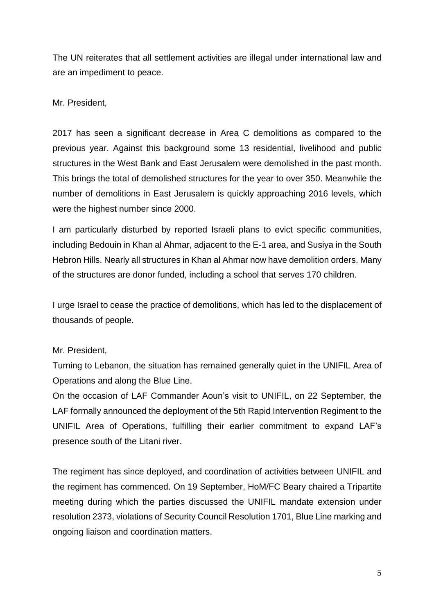The UN reiterates that all settlement activities are illegal under international law and are an impediment to peace.

## Mr. President,

2017 has seen a significant decrease in Area C demolitions as compared to the previous year. Against this background some 13 residential, livelihood and public structures in the West Bank and East Jerusalem were demolished in the past month. This brings the total of demolished structures for the year to over 350. Meanwhile the number of demolitions in East Jerusalem is quickly approaching 2016 levels, which were the highest number since 2000.

I am particularly disturbed by reported Israeli plans to evict specific communities, including Bedouin in Khan al Ahmar, adjacent to the E-1 area, and Susiya in the South Hebron Hills. Nearly all structures in Khan al Ahmar now have demolition orders. Many of the structures are donor funded, including a school that serves 170 children.

I urge Israel to cease the practice of demolitions, which has led to the displacement of thousands of people.

## Mr. President,

Turning to Lebanon, the situation has remained generally quiet in the UNIFIL Area of Operations and along the Blue Line.

On the occasion of LAF Commander Aoun's visit to UNIFIL, on 22 September, the LAF formally announced the deployment of the 5th Rapid Intervention Regiment to the UNIFIL Area of Operations, fulfilling their earlier commitment to expand LAF's presence south of the Litani river.

The regiment has since deployed, and coordination of activities between UNIFIL and the regiment has commenced. On 19 September, HoM/FC Beary chaired a Tripartite meeting during which the parties discussed the UNIFIL mandate extension under resolution 2373, violations of Security Council Resolution 1701, Blue Line marking and ongoing liaison and coordination matters.